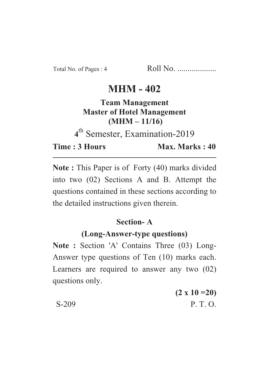# **MHM - 402**

### **Team Management Master of Hotel Management**  $(MHM - 11/16)$

<sup>th</sup> Semester, Examination-2019

**Time: 3 Hours Time : 3 Hours Max. Marks : 40**

Max. Marks: 40

**Note :** This Paper is of Forty (40) marks divided into two (02) Sections A and B. Attempt the questions contained in these sections according to the detailed instructions given therein.

#### **Section-A**

#### (Long-Answer-type questions)

**(Long-Answer-type questions) Note : Section 'A' Contains Three (03) Long-**Answer type questions of Ten (10) marks each. Learners are required to answer any two (02) questions only.

**(2 x 10 =20)** S-209 P. T. O.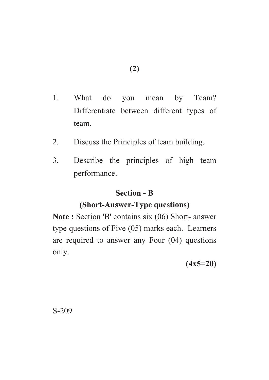- 1. What do you mean by Team? Differentiate between different types of team.
- 2. Discuss the Principles of team building.
- 3. Describe the principles of high team performance.

#### **Section - B**

# **(Short-Answer-Type questions)**

(Short-Answer-Type questions) **Note : Section 'B' contains six (06) Short- answer** type questions of Five (05) marks each. Learners are required to answer any Four (04) questions only.

**(4x5=20)**

S-209